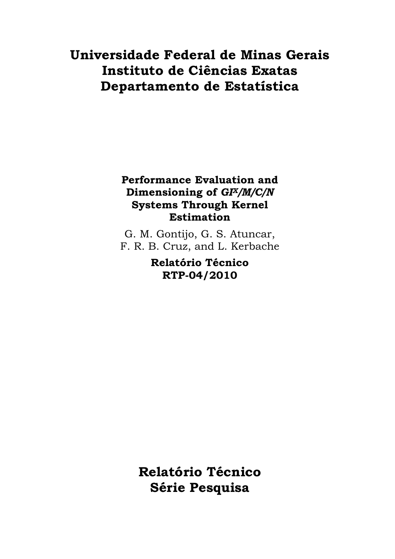# **Universidade Federal de Minas Gerais Instituto de Ciências Exatas Departamento de Estatística**

# **Performance Evaluation and Dimensioning of** *GIX/M/C/N* **Systems Through Kernel Estimation**

G. M. Gontijo, G. S. Atuncar, F. R. B. Cruz, and L. Kerbache

> **Relatório Técnico RTP-04/2010**

**Relatório Técnico Série Pesquisa**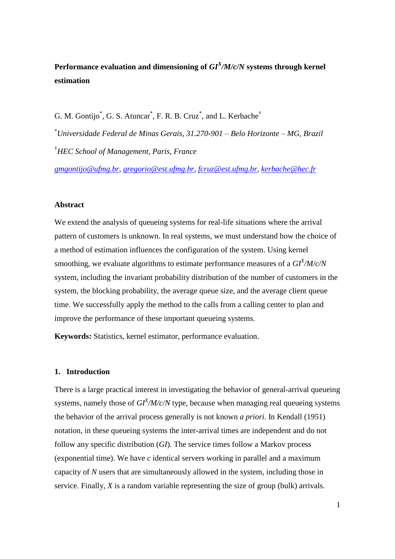# Performance evaluation and dimensioning of  $GI<sup>X</sup>/M/c/N$  systems through kernel **estimation**

G. M. Gontijo<sup>\*</sup>, G. S. Atuncar<sup>\*</sup>, F. R. B. Cruz<sup>\*</sup>, and L. Kerbache<sup>†</sup>

\**Universidade Federal de Minas Gerais, 31.270-901 – Belo Horizonte – MG, Brazil* †*HEC School of Management, Paris, France*

*[gmgontijo@ufmg.br,](mailto:gmgontijo@ufmg.br) [gregorio@est.ufmg.br,](mailto:gregorio@est.ufmg.br) [fcruz@est.ufmg.br,](mailto:fcruz@est.ufmg.br) [kerbache@hec.fr](mailto:kerbache@hec.fr)*

#### **Abstract**

We extend the analysis of queueing systems for real-life situations where the arrival pattern of customers is unknown. In real systems, we must understand how the choice of a method of estimation influences the configuration of the system. Using kernel smoothing, we evaluate algorithms to estimate performance measures of a *GI<sup>X</sup> /M/c/N* system, including the invariant probability distribution of the number of customers in the system, the blocking probability, the average queue size, and the average client queue time. We successfully apply the method to the calls from a calling center to plan and improve the performance of these important queueing systems.

**Keywords:** Statistics, kernel estimator, performance evaluation.

#### **1. Introduction**

There is a large practical interest in investigating the behavior of general-arrival queueing systems, namely those of  $GI^X/M/c/N$  type, because when managing real queueing systems the behavior of the arrival process generally is not known *a priori*. In Kendall (1951) notation, in these queueing systems the inter-arrival times are independent and do not follow any specific distribution (*GI*). The service times follow a Markov process (exponential time). We have *c* identical servers working in parallel and a maximum capacity of *N* users that are simultaneously allowed in the system, including those in service. Finally, *X* is a random variable representing the size of group (bulk) arrivals.

1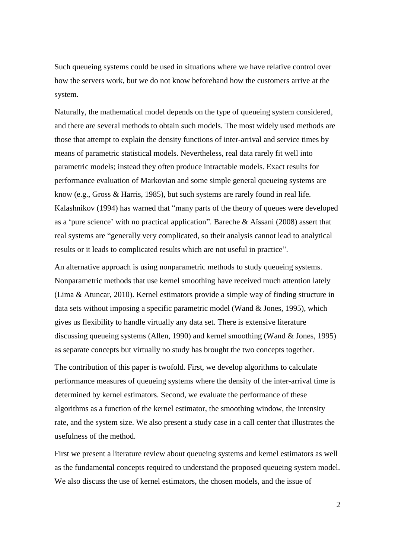Such queueing systems could be used in situations where we have relative control over how the servers work, but we do not know beforehand how the customers arrive at the system.

Naturally, the mathematical model depends on the type of queueing system considered, and there are several methods to obtain such models. The most widely used methods are those that attempt to explain the density functions of inter-arrival and service times by means of parametric statistical models. Nevertheless, real data rarely fit well into parametric models; instead they often produce intractable models. Exact results for performance evaluation of Markovian and some simple general queueing systems are know (e.g., Gross & Harris, 1985), but such systems are rarely found in real life. Kalashnikov (1994) has warned that "many parts of the theory of queues were developed as a 'pure science' with no practical application". Bareche  $\&$  Aïssani (2008) assert that real systems are "generally very complicated, so their analysis cannot lead to analytical results or it leads to complicated results which are not useful in practice".

An alternative approach is using nonparametric methods to study queueing systems. Nonparametric methods that use kernel smoothing have received much attention lately (Lima & Atuncar, 2010). Kernel estimators provide a simple way of finding structure in data sets without imposing a specific parametric model (Wand & Jones, 1995), which gives us flexibility to handle virtually any data set. There is extensive literature discussing queueing systems (Allen, 1990) and kernel smoothing (Wand & Jones, 1995) as separate concepts but virtually no study has brought the two concepts together.

The contribution of this paper is twofold. First, we develop algorithms to calculate performance measures of queueing systems where the density of the inter-arrival time is determined by kernel estimators. Second, we evaluate the performance of these algorithms as a function of the kernel estimator, the smoothing window, the intensity rate, and the system size. We also present a study case in a call center that illustrates the usefulness of the method.

First we present a literature review about queueing systems and kernel estimators as well as the fundamental concepts required to understand the proposed queueing system model. We also discuss the use of kernel estimators, the chosen models, and the issue of

2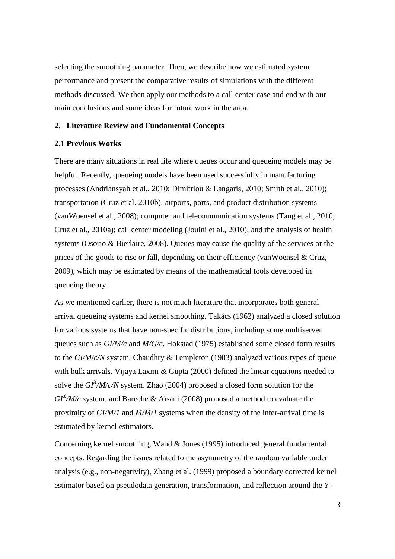selecting the smoothing parameter. Then, we describe how we estimated system performance and present the comparative results of simulations with the different methods discussed. We then apply our methods to a call center case and end with our main conclusions and some ideas for future work in the area.

#### **2. Literature Review and Fundamental Concepts**

# **2.1 Previous Works**

There are many situations in real life where queues occur and queueing models may be helpful. Recently, queueing models have been used successfully in manufacturing processes (Andriansyah et al., 2010; Dimitriou & Langaris, 2010; Smith et al., 2010); transportation (Cruz et al. 2010b); airports, ports, and product distribution systems (vanWoensel et al., 2008); computer and telecommunication systems (Tang et al., 2010; Cruz et al., 2010a); call center modeling (Jouini et al., 2010); and the analysis of health systems (Osorio & Bierlaire, 2008). Queues may cause the quality of the services or the prices of the goods to rise or fall, depending on their efficiency (vanWoensel & Cruz, 2009), which may be estimated by means of the mathematical tools developed in queueing theory.

As we mentioned earlier, there is not much literature that incorporates both general arrival queueing systems and kernel smoothing. Takács (1962) analyzed a closed solution for various systems that have non-specific distributions, including some multiserver queues such as *GI/M/c* and *M/G/c*. Hokstad (1975) established some closed form results to the *GI/M/c/N* system. Chaudhry & Templeton (1983) analyzed various types of queue with bulk arrivals. Vijaya Laxmi & Gupta (2000) defined the linear equations needed to solve the *GI<sup>X</sup> /M/c/N* system. Zhao (2004) proposed a closed form solution for the  $GI<sup>X</sup>/M/c$  system, and Bareche & Aïsani (2008) proposed a method to evaluate the proximity of *GI/M/1* and *M/M/1* systems when the density of the inter-arrival time is estimated by kernel estimators.

Concerning kernel smoothing, Wand & Jones (1995) introduced general fundamental concepts. Regarding the issues related to the asymmetry of the random variable under analysis (e.g., non-negativity), Zhang et al. (1999) proposed a boundary corrected kernel estimator based on pseudodata generation, transformation, and reflection around the *Y*-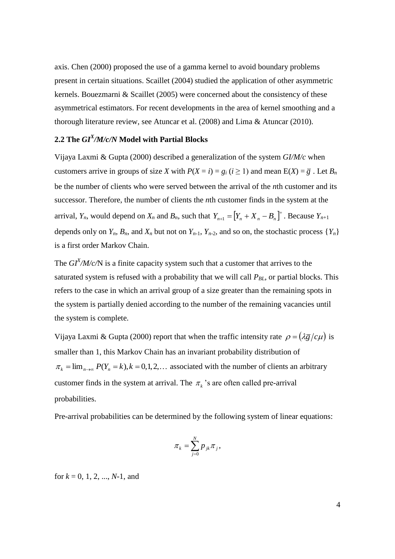axis. Chen (2000) proposed the use of a gamma kernel to avoid boundary problems present in certain situations. Scaillet (2004) studied the application of other asymmetric kernels. Bouezmarni & Scaillet (2005) were concerned about the consistency of these asymmetrical estimators. For recent developments in the area of kernel smoothing and a thorough literature review, see Atuncar et al. (2008) and Lima & Atuncar (2010).

# **2.2 The** *GI<sup>X</sup> /M/c/N* **Model with Partial Blocks**

Vijaya Laxmi & Gupta (2000) described a generalization of the system *GI/M/c* when customers arrive in groups of size *X* with  $P(X = i) = g_i$  ( $i \ge 1$ ) and mean  $E(X) = \overline{g}$ . Let  $B_n$ be the number of clients who were served between the arrival of the *n*th customer and its successor. Therefore, the number of clients the *n*th customer finds in the system at the arrival,  $Y_n$ , would depend on  $X_n$  and  $B_n$ , such that  $Y_{n+1} = [Y_n + X_n - B_n]^+$ . Because  $Y_{n+1}$ depends only on  $Y_n$ ,  $B_n$ , and  $X_n$  but not on  $Y_{n-1}$ ,  $Y_{n-2}$ , and so on, the stochastic process  $\{Y_n\}$ is a first order Markov Chain.

The  $GI<sup>X</sup>/M/c/N$  is a finite capacity system such that a customer that arrives to the saturated system is refused with a probability that we will call *PBL*, or partial blocks. This refers to the case in which an arrival group of a size greater than the remaining spots in the system is partially denied according to the number of the remaining vacancies until the system is complete.

Vijaya Laxmi & Gupta (2000) report that when the traffic intensity rate  $\rho = (\lambda \bar{g}/c\mu)$  is smaller than 1, this Markov Chain has an invariant probability distribution of  $\pi_k = \lim_{n \to \infty} P(Y_n = k)$ ,  $k = 0, 1, 2, \dots$  associated with the number of clients an arbitrary customer finds in the system at arrival. The  $\pi_k$ 's are often called pre-arrival probabilities.

Pre-arrival probabilities can be determined by the following system of linear equations:

$$
\pi_k = \sum_{j=0}^N p_{jk} \pi_j,
$$

for  $k = 0, 1, 2, ..., N-1$ , and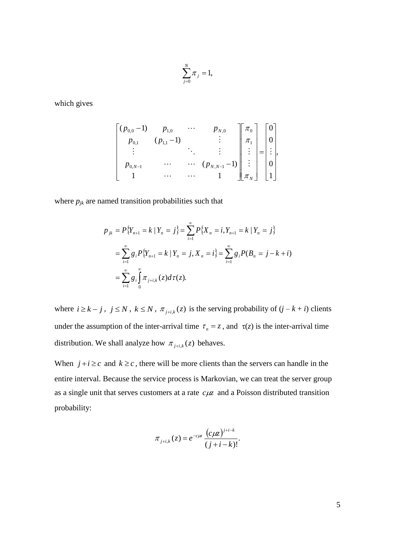$$
\sum_{j=0}^N \pi_j = 1,
$$

which gives

$$
\begin{bmatrix} (p_{0,0}-1) & p_{1,0} & \cdots & p_{N,0} \\ p_{0,1} & (p_{1,1}-1) & & \vdots & \pi_1 \\ \vdots & & \ddots & \vdots & \vdots \\ p_{0,N-1} & \cdots & \cdots & (p_{N,N-1}-1) \\ 1 & & \cdots & \cdots & 1 \end{bmatrix} \begin{bmatrix} \pi_0 \\ \pi_1 \\ \vdots \\ \vdots \\ \pi_N \end{bmatrix} = \begin{bmatrix} 0 \\ 0 \\ \vdots \\ 0 \\ 1 \end{bmatrix}
$$

where  $p_{jk}$  are named transition probabilities such that

$$
p_{jk} = P\{Y_{n+1} = k \mid Y_n = j\} = \sum_{i=1}^{\infty} P\{X_n = i, Y_{n+1} = k \mid Y_n = j\}
$$
  
= 
$$
\sum_{i=1}^{\infty} g_i P\{Y_{n+1} = k \mid Y_n = j, X_n = i\} = \sum_{i=1}^{\infty} g_i P(B_n = j - k + i)
$$
  
= 
$$
\sum_{i=1}^{\infty} g_i \int_0^{\infty} \pi_{j+i,k}(z) d\tau(z).
$$

where  $i \geq k - j$ ,  $j \leq N$ ,  $k \leq N$ ,  $\pi_{j+i,k}(z)$  is the serving probability of  $(j - k + i)$  clients under the assumption of the inter-arrival time  $\tau_n = z$ , and  $\tau(z)$  is the inter-arrival time distribution. We shall analyze how  $\pi_{j+i,k}(z)$  behaves.

When  $j + i \geq c$  and  $k \geq c$ , there will be more clients than the servers can handle in the entire interval. Because the service process is Markovian, we can treat the server group as a single unit that serves customers at a rate  $c\mu z$  and a Poisson distributed transition probability:

$$
\pi_{j+i,k}(z) = e^{-c\mu z} \frac{(c\mu z)^{j+i-k}}{(j+i-k)!}.
$$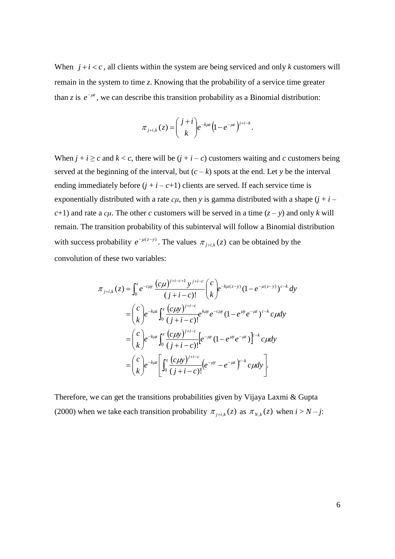When  $j + i < c$ , all clients within the system are being serviced and only *k* customers will remain in the system to time *z*. Knowing that the probability of a service time greater than *z* is  $e^{-\mu z}$ , we can describe this transition probability as a Binomial distribution:

$$
\pi_{j+i,k}(z) = \binom{j+i}{k} e^{-k\mu z} \left(1 - e^{-\mu z}\right)^{j+i-k}.
$$

When  $j + i \geq c$  and  $k < c$ , there will be  $(j + i - c)$  customers waiting and *c* customers being served at the beginning of the interval, but  $(c - k)$  spots at the end. Let *y* be the interval ending immediately before  $(j + i - c + 1)$  clients are served. If each service time is exponentially distributed with a rate  $c\mu$ , then *y* is gamma distributed with a shape  $(j + i - j)$ *c*+1) and rate a *c<sub>μ</sub>*. The other *c* customers will be served in a time  $(z - y)$  and only *k* will remain. The transition probability of this subinterval will follow a Binomial distribution with success probability  $e^{-\mu(z-y)}$ . The values  $\pi_{j+i,k}(z)$  can be obtained by the convolution of these two variables:

$$
\pi_{j+i,k}(z) = \int_0^z e^{-c\mu y} \frac{(c\mu)^{j+i-c+1} y^{j+i-c}}{(j+i-c)!} \binom{c}{k} e^{-k\mu(z-y)} (1 - e^{-\mu(z-y)})^{c-k} dy
$$
  
\n
$$
= \binom{c}{k} e^{-k\mu z} \int_0^z \frac{(c\mu y)^{j+i-c}}{(j+i-c)!} e^{k\mu y} e^{-c\mu y} (1 - e^{\mu y} e^{-\mu z})^{c-k} c \mu dy
$$
  
\n
$$
= \binom{c}{k} e^{-k\mu z} \int_0^z \frac{(c\mu y)^{j+i-c}}{(j+i-c)!} [e^{-\mu y} (1 - e^{\mu y} e^{-\mu z})]^{c-k} c \mu dy
$$
  
\n
$$
= \binom{c}{k} e^{-k\mu z} \left[ \int_0^z \frac{(c\mu y)^{j+i-c}}{(j+i-c)!} (e^{-\mu y} - e^{-\mu z})^{c-k} c \mu dy \right].
$$

Therefore, we can get the transitions probabilities given by Vijaya Laxmi & Gupta (2000) when we take each transition probability  $\pi_{i+k}(z)$  as  $\pi_{N,k}(z)$  when  $i > N - j$ :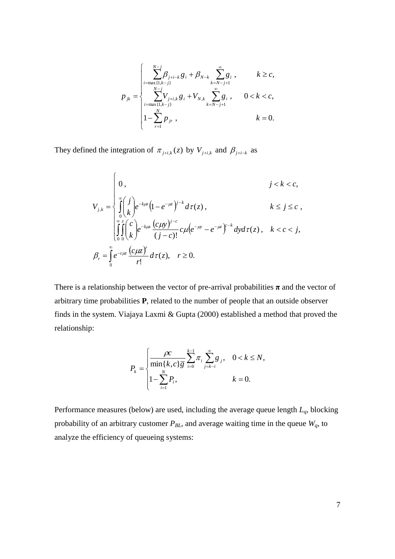$$
p_{jk} = \begin{cases} \sum_{i=\max\{1,k-j\}}^{N-j} \beta_{j+i-k} g_i + \beta_{N-k} \sum_{k=N-j+1}^{\infty} g_i, & k \geq c, \\ \sum_{i=\max\{1,k-j\}}^{N-j} V_{j+i,k} g_i + V_{N,k} \sum_{k=N-j+1}^{\infty} g_i, & 0 < k < c, \\ 1 - \sum_{r=1}^{N} p_{jr}, & k = 0. \end{cases}
$$

They defined the integration of  $\pi_{j+i,k}(z)$  by  $V_{j+i,k}$  and  $\beta_{j+i-k}$  as

$$
V_{j,k} = \begin{cases} 0, & j < k < c, \\ \int_{0}^{\infty} \left(\frac{j}{k}\right) e^{-k\mu z} \left(1 - e^{-\mu z}\right)^{j-k} d\tau(z), & k \le j \le c, \\ \int_{0}^{\infty} \int_{0}^{z} \left(\frac{c}{k}\right) e^{-k\mu z} \frac{(c\mu y)^{j-c}}{(j-c)!} c\mu \left(e^{-\mu y} - e^{-\mu z}\right)^{c-k} dy d\tau(z), & k < c < j, \\ \beta_{r} = \int_{0}^{\infty} e^{-c\mu z} \frac{(c\mu z)^{r}}{r!} d\tau(z), & r \ge 0. \end{cases}
$$

There is a relationship between the vector of pre-arrival probabilities  $\pi$  and the vector of arbitrary time probabilities **P**, related to the number of people that an outside observer finds in the system. Viajaya Laxmi & Gupta (2000) established a method that proved the relationship:

$$
P_{k} = \begin{cases} \frac{\rho c}{\min\{k, c\}\overline{g}} \sum_{i=0}^{k-1} \pi_{i} \sum_{j=k-i}^{\infty} g_{j}, & 0 < k \leq N, \\ 1 - \sum_{i=1}^{N} P_{i}, & k = 0. \end{cases}
$$

Performance measures (below) are used, including the average queue length *Lq*, blocking probability of an arbitrary customer  $P_{BL}$ , and average waiting time in the queue  $W_q$ , to analyze the efficiency of queueing systems: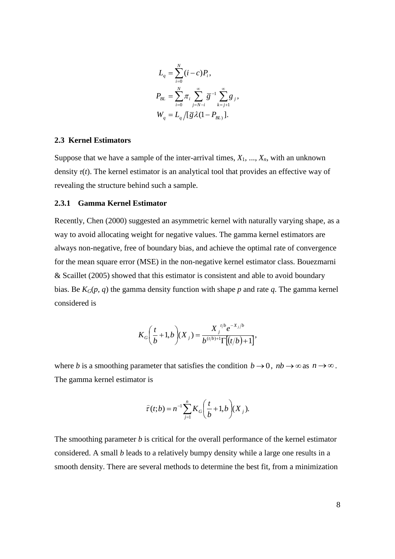$$
L_q = \sum_{i=0}^{N} (i - c) P_i,
$$
  
\n
$$
P_{BL} = \sum_{i=0}^{N} \pi_i \sum_{j=N-i}^{\infty} \overline{g}^{-1} \sum_{k=j+1}^{\infty} g_j,
$$
  
\n
$$
W_q = L_q / [\overline{g} \lambda (1 - P_{BL})].
$$

#### **2.3 Kernel Estimators**

Suppose that we have a sample of the inter-arrival times,  $X_1, \ldots, X_n$ , with an unknown density  $\tau(t)$ . The kernel estimator is an analytical tool that provides an effective way of revealing the structure behind such a sample.

#### **2.3.1 Gamma Kernel Estimator**

Recently, Chen (2000) suggested an asymmetric kernel with naturally varying shape, as a way to avoid allocating weight for negative values. The gamma kernel estimators are always non-negative, free of boundary bias, and achieve the optimal rate of convergence for the mean square error (MSE) in the non-negative kernel estimator class. Bouezmarni & Scaillet (2005) showed that this estimator is consistent and able to avoid boundary bias. Be  $K_G(p, q)$  the gamma density function with shape p and rate q. The gamma kernel considered is

$$
K_G\bigg(\frac{t}{b}+1,b\bigg)(X_j) = \frac{X_j^{t/b}e^{-X_j/b}}{b^{(t/b)+1}\Gamma[(t/b)+1]},
$$

where *b* is a smoothing parameter that satisfies the condition  $b \rightarrow 0$ ,  $nb \rightarrow \infty$  as  $n \rightarrow \infty$ . The gamma kernel estimator is

$$
\widehat{\tau}(t;b) = n^{-1} \sum_{j=1}^{n} K_G \bigg(\frac{t}{b} + 1, b\bigg)(X_j).
$$

The smoothing parameter *b* is critical for the overall performance of the kernel estimator considered. A small *b* leads to a relatively bumpy density while a large one results in a smooth density. There are several methods to determine the best fit, from a minimization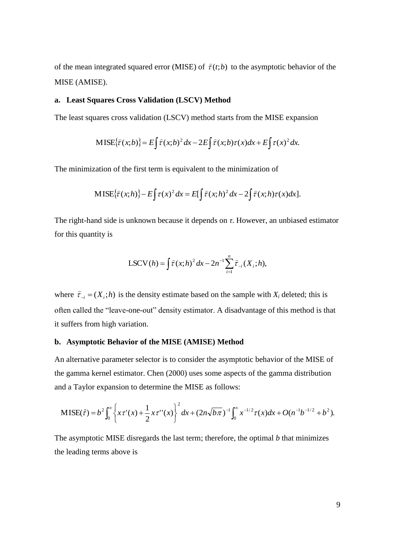of the mean integrated squared error (MISE) of  $\hat{\tau}(t; b)$  to the asymptotic behavior of the MISE (AMISE).

#### **a. Least Squares Cross Validation (LSCV) Method**

The least squares cross validation (LSCV) method starts from the MISE expansion

$$
\text{MISE}\{\hat{\tau}(x;b)\}=E\int \hat{\tau}(x;b)^2\,dx-2E\int \hat{\tau}(x;b)\tau(x)dx+E\int \tau(x)^2\,dx.
$$

The minimization of the first term is equivalent to the minimization of

$$
\text{MISE}\{\hat{\tau}(x;h)\}-E\int \tau(x)^2 dx = E[\int \hat{\tau}(x;h)^2 dx - 2\int \hat{\tau}(x;h)\tau(x)dx].
$$

The right-hand side is unknown because it depends on *τ*. However, an unbiased estimator for this quantity is

$$
LSCV(h) = \int \hat{\tau}(x; h)^{2} dx - 2n^{-1} \sum_{i=1}^{n} \hat{\tau}_{-i}(X_{i}; h),
$$

where  $\hat{\tau}_{-i} = (X_i; h)$  is the density estimate based on the sample with  $X_i$  deleted; this is often called the "leave-one-out" density estimator. A disadvantage of this method is that it suffers from high variation.

#### **b. Asymptotic Behavior of the MISE (AMISE) Method**

An alternative parameter selector is to consider the asymptotic behavior of the MISE of the gamma kernel estimator. Chen (2000) uses some aspects of the gamma distribution and a Taylor expansion to determine the MISE as follows:

$$
\mathrm{MISE}(\hat{\tau}) = b^2 \int_0^{\infty} \left\{ x \tau'(x) + \frac{1}{2} x \tau''(x) \right\}^2 dx + (2n\sqrt{b\pi})^{-1} \int_0^{\infty} x^{-1/2} \tau(x) dx + O(n^{-1}b^{-1/2} + b^2).
$$

The asymptotic MISE disregards the last term; therefore, the optimal *b* that minimizes the leading terms above is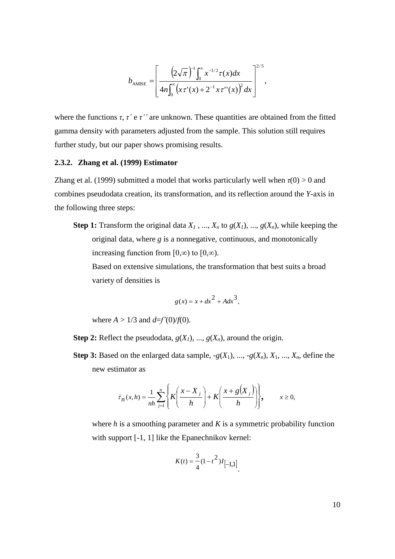$$
b_{\text{AMISE}} = \left[ \frac{\left(2\sqrt{\pi}\right)^{-1} \int_0^{\infty} x^{-1/2} \tau(x) dx}{4n \int_0^{\infty} \left(x \tau'(x) + 2^{-1} x \tau''(x)\right)^2 dx} \right]^{2/5},
$$

where the functions *τ*, *τ'* e *τ''* are unknown. These quantities are obtained from the fitted gamma density with parameters adjusted from the sample. This solution still requires further study, but our paper shows promising results.

#### **2.3.2. Zhang et al. (1999) Estimator**

Zhang et al. (1999) submitted a model that works particularly well when  $\tau(0) > 0$  and combines pseudodata creation, its transformation, and its reflection around the *Y*-axis in the following three steps:

**Step 1:** Transform the original data  $X_1$ , ...,  $X_n$  to  $g(X_1)$ , ...,  $g(X_n)$ , while keeping the original data, where *g* is a nonnegative, continuous, and monotonically increasing function from [0,∞) to [0,∞).

Based on extensive simulations, the transformation that best suits a broad variety of densities is

$$
g(x) = x + dx^2 + A dx^3,
$$

where  $A > 1/3$  and  $d=f'(0)/f(0)$ .

- **Step 2:** Reflect the pseudodata,  $g(X_1)$ , ...,  $g(X_n)$ , around the origin.
- **Step 3:** Based on the enlarged data sample,  $-g(X_1), ..., -g(X_n), X_1, ..., X_n$ , define the new estimator as

$$
\hat{\tau}_n(x,h) = \frac{1}{nh} \sum_{j=1}^n \left\{ K \left( \frac{x - X_j}{h} \right) + K \left( \frac{x + g(X_j)}{h} \right) \right\}, \qquad x \ge 0,
$$

where *h* is a smoothing parameter and *K* is a symmetric probability function with support [-1, 1] like the Epanechnikov kernel:

$$
K(t) = \frac{3}{4} (1 - t^2) I_{[-1,1]}.
$$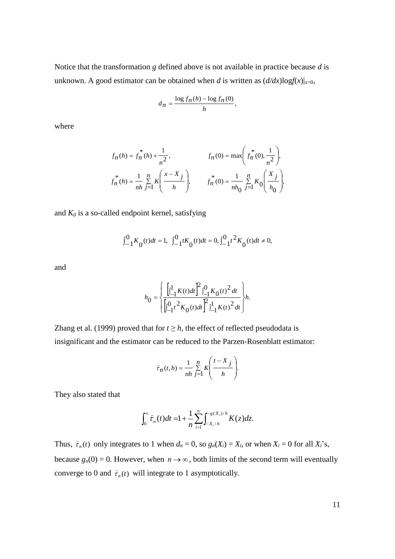Notice that the transformation *g* defined above is not available in practice because *d* is unknown. A good estimator can be obtained when *d* is written as  $\left(\frac{d}{dx}\right)\log f(x)|_{x=0}$ ,

$$
d_n = \frac{\log f_n(h) - \log f_n(0)}{h},
$$

where

$$
f_n(h) = f_n^*(h) + \frac{1}{n^2}, \qquad f_n(0) = \max\left(f_n^*(0), \frac{1}{n^2}\right),
$$
  

$$
f_n^*(h) = \frac{1}{nh} \sum_{j=1}^n K\left(\frac{x - X_j}{h}\right), \qquad f_n^*(0) = \frac{1}{nh_0} \sum_{j=1}^n K_0\left(\frac{X_j}{h_0}\right),
$$

and  $K_0$  is a so-called endpoint kernel, satisfying

$$
\int_{-1}^{0}K_{0}(t)dt=1,\;\;\int_{-1}^{0}tK_{0}(t)dt=0,\int_{-1}^{0}t^{2}K_{0}(t)dt\neq0,
$$

and

$$
h_0=\begin{cases}\frac{\left[ \prod_{-1}^1K(t)dt\right]^2 \int_{-1}^0 K_0(t)^2 dt}{\left[ \int_{-1}^0 t^2 K_0(t)dt\right]^2 \int_{-1}^1 K(t)^2 dt}\end{cases}h.
$$

Zhang et al. (1999) proved that for  $t \geq h$ , the effect of reflected pseudodata is insignificant and the estimator can be reduced to the Parzen-Rosenblatt estimator:

$$
\widehat{\tau}_n(t,h) = \frac{1}{nh} \sum_{j=1}^n K\left(\frac{t-X_j}{h}\right).
$$

They also stated that

$$
\int_0^{\infty} \widehat{\tau}_n(t) dt = 1 + \frac{1}{n} \sum_{i=1}^n \int_{-X_i/h}^{-g(X_i)/h} K(z) dz.
$$

Thus,  $\hat{\tau}_n(t)$  only integrates to 1 when  $d_n = 0$ , so  $g_n(X_i) = X_i$ , or when  $X_i = 0$  for all  $X_i$ 's, because  $g_n(0) = 0$ . However, when  $n \to \infty$ , both limits of the second term will eventually converge to 0 and  $\hat{\tau}_n(t)$  will integrate to 1 asymptotically.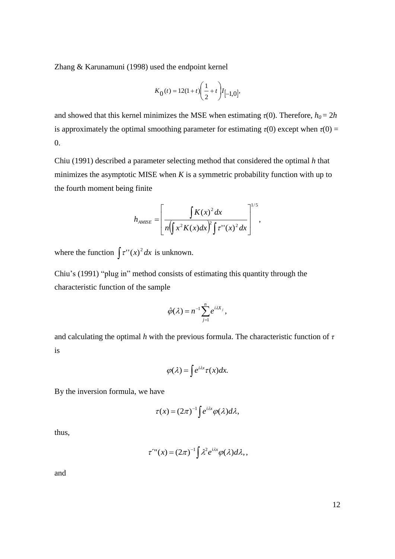Zhang & Karunamuni (1998) used the endpoint kernel

$$
K_0(t) = 12(1+t)\left(\frac{1}{2} + t\right)I_{[-1,0]},
$$

and showed that this kernel minimizes the MSE when estimating  $\tau(0)$ . Therefore,  $h_0 = 2h$ is approximately the optimal smoothing parameter for estimating  $\tau(0)$  except when  $\tau(0)$  =  $\Omega$ .

Chiu (1991) described a parameter selecting method that considered the optimal *h* that minimizes the asymptotic MISE when *K* is a symmetric probability function with up to the fourth moment being finite

$$
h_{AMISE} = \left[ \frac{\int K(x)^2 dx}{n \left( \int x^2 K(x) dx \right)^2 \int \tau^{\prime \prime} (x)^2 dx} \right]^{1/5},
$$

where the function  $\int \tau''(x)^2 dx$  is unknown.

Chiu's (1991) "plug in" method consists of estimating this quantity through the characteristic function of the sample

$$
\hat{\varphi}(\lambda)=n^{-1}\sum_{j=1}^n e^{i\lambda X_j},
$$

and calculating the optimal *h* with the previous formula. The characteristic function of *τ* is

$$
\varphi(\lambda) = \int e^{i\lambda x} \tau(x) dx.
$$

By the inversion formula, we have

$$
\tau(x) = (2\pi)^{-1} \int e^{i\lambda x} \varphi(\lambda) d\lambda,
$$

thus,

$$
\tau^{\prime\prime\prime}(x)=(2\pi)^{-1}\int\lambda^2e^{i\lambda x}\varphi(\lambda)d\lambda,
$$

and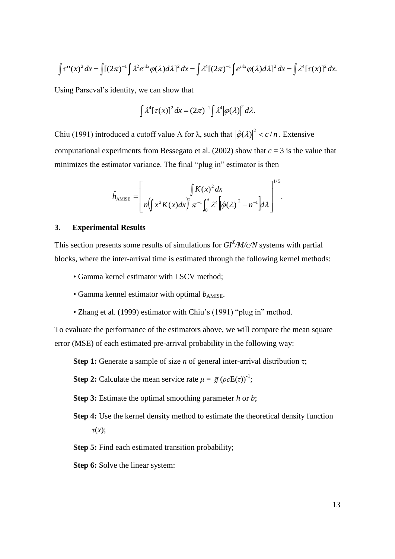$$
\int \tau''(x)^2 dx = \int [(2\pi)^{-1} \int \lambda^2 e^{i\lambda x} \varphi(\lambda) d\lambda]^2 dx = \int \lambda^4 [(2\pi)^{-1} \int e^{i\lambda x} \varphi(\lambda) d\lambda]^2 dx = \int \lambda^4 [\tau(x)]^2 dx.
$$

Using Parseval's identity, we can show that

$$
\int \lambda^4 [\tau(x)]^2 dx = (2\pi)^{-1} \int \lambda^4 |\varphi(\lambda)|^2 d\lambda.
$$

Chiu (1991) introduced a cutoff value  $\Lambda$  for  $\lambda$ , such that  $|\hat{\varphi}(\lambda)|^2 < c/n$ . Extensive computational experiments from Bessegato et al. (2002) show that  $c = 3$  is the value that minimizes the estimator variance. The final "plug in" estimator is then

$$
\hat{h}_{\text{AMISE}} = \left[ \frac{\int K(x)^2 dx}{n \left( \int x^2 K(x) dx \right)^2 \pi^{-1} \int_0^{\Lambda} \lambda^4 \left[ \hat{\varphi}(\lambda) \right]^2 - n^{-1} \right] d\lambda} \right]^{1/5}.
$$

#### **3. Experimental Results**

This section presents some results of simulations for  $GI^{X}/M/c/N$  systems with partial blocks, where the inter-arrival time is estimated through the following kernel methods:

- Gamma kernel estimator with LSCV method;
- Gamma kennel estimator with optimal  $b_{AMISE}$ .
- Zhang et al. (1999) estimator with Chiu's (1991) "plug in" method.

To evaluate the performance of the estimators above, we will compare the mean square error (MSE) of each estimated pre-arrival probability in the following way:

**Step 1:** Generate a sample of size *n* of general inter-arrival distribution τ;

**Step 2:** Calculate the mean service rate  $\mu = \overline{g} (\rho cE(\tau))^{-1}$ ;

- **Step 3:** Estimate the optimal smoothing parameter *h* or *b*;
- **Step 4:** Use the kernel density method to estimate the theoretical density function *τ*(*x*);
- **Step 5:** Find each estimated transition probability;
- **Step 6:** Solve the linear system: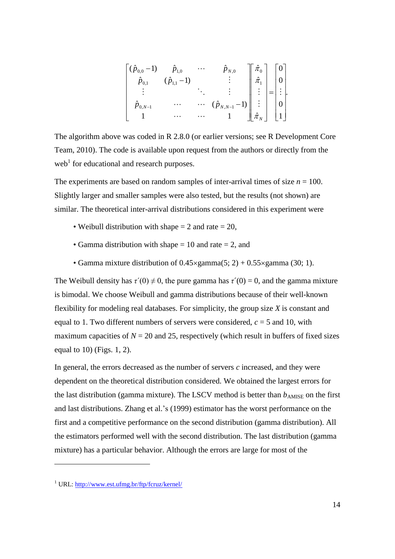$$
\begin{bmatrix}\n(\hat{p}_{0,0}-1) & \hat{p}_{1,0} & \cdots & \hat{p}_{N,0} \\
\hat{p}_{0,1} & (\hat{p}_{1,1}-1) & & \vdots \\
\vdots & & \ddots & \vdots \\
\hat{p}_{0,N-1} & \cdots & \cdots & (\hat{p}_{N,N-1}-1) \\
1 & \cdots & \cdots & 1\n\end{bmatrix}\n\begin{bmatrix}\n\hat{\pi}_{0} \\
\hat{\pi}_{1} \\
\vdots \\
\vdots \\
\hat{\pi}_{N}\n\end{bmatrix} =\n\begin{bmatrix}\n0 \\
0 \\
\vdots \\
0 \\
1\n\end{bmatrix}
$$

The algorithm above was coded in R 2.8.0 (or earlier versions; see R Development Core Team, 2010). The code is available upon request from the authors or directly from the web<sup>1</sup> for educational and research purposes.

<span id="page-14-0"></span>The experiments are based on random samples of inter-arrival times of size  $n = 100$ . Slightly larger and smaller samples were also tested, but the results (not shown) are similar. The theoretical inter-arrival distributions considered in this experiment were

- Weibull distribution with shape  $= 2$  and rate  $= 20$ ,
- Gamma distribution with shape  $= 10$  and rate  $= 2$ , and
- Gamma mixture distribution of  $0.45 \times \text{gamma}(5; 2) + 0.55 \times \text{gamma}(30; 1)$ .

The Weibull density has  $\tau'(0) \neq 0$ , the pure gamma has  $\tau'(0) = 0$ , and the gamma mixture is bimodal. We choose Weibull and gamma distributions because of their well-known flexibility for modeling real databases. For simplicity, the group size *X* is constant and equal to 1. Two different numbers of servers were considered, *c* = 5 and 10, with maximum capacities of  $N = 20$  and 25, respectively (which result in buffers of fixed sizes equal to 10) (Figs. 1, 2).

In general, the errors decreased as the number of servers *c* increased, and they were dependent on the theoretical distribution considered. We obtained the largest errors for the last distribution (gamma mixture). The LSCV method is better than  $b_{AMISE}$  on the first and last distributions. Zhang et al.'s (1999) estimator has the worst performance on the first and a competitive performance on the second distribution (gamma distribution). All the estimators performed well with the second distribution. The last distribution (gamma mixture) has a particular behavior. Although the errors are large for most of the

 $\overline{a}$ 

<sup>1</sup> URL:<http://www.est.ufmg.br/ftp/fcruz/kernel/>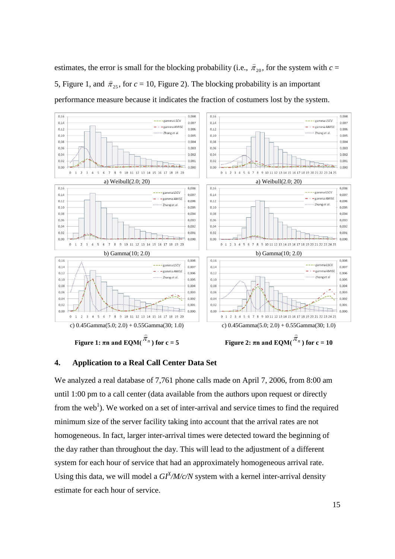estimates, the error is small for the blocking probability (i.e.,  $\hat{\pi}_{20}$  $\hat{\pi}_{20}$ , for the system with *c* = 5, Figure 1, and  $\hat{\pi}_{25}$  $\hat{\tau}_{25}$ , for  $c = 10$ , Figure 2). The blocking probability is an important performance measure because it indicates the fraction of costumers lost by the system.



### **4. Application to a Real Call Center Data Set**

We analyzed a real database of 7,761 phone calls made on April 7, 2006, from 8:00 am until 1:00 pm to a call center (data available from the authors upon request or directly from the web<sup>[1](#page-14-0)</sup>). We worked on a set of inter-arrival and service times to find the required minimum size of the server facility taking into account that the arrival rates are not homogeneous. In fact, larger inter-arrival times were detected toward the beginning of the day rather than throughout the day. This will lead to the adjustment of a different system for each hour of service that had an approximately homogeneous arrival rate. Using this data, we will model a  $GI<sup>X</sup>/M/c/N$  system with a kernel inter-arrival density estimate for each hour of service.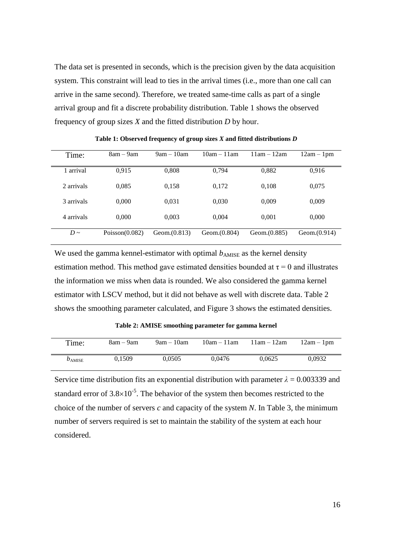The data set is presented in seconds, which is the precision given by the data acquisition system. This constraint will lead to ties in the arrival times (i.e., more than one call can arrive in the same second). Therefore, we treated same-time calls as part of a single arrival group and fit a discrete probability distribution. Table 1 shows the observed frequency of group sizes *X* and the fitted distribution *D* by hour.

| Time:      | $8am - 9am$       | $9am - 10am$    | $10am - 11am$ | $11am - 12am$ | $12am - 1pm$    |
|------------|-------------------|-----------------|---------------|---------------|-----------------|
| 1 arrival  | 0.915             | 0,808           | 0.794         | 0,882         | 0,916           |
| 2 arrivals | 0.085             | 0.158           | 0,172         | 0.108         | 0.075           |
| 3 arrivals | 0.000             | 0.031           | 0,030         | 0,009         | 0.009           |
| 4 arrivals | 0.000             | 0.003           | 0,004         | 0,001         | 0.000           |
| $D \sim$   | Poisson $(0.082)$ | Geom. $(0.813)$ | Geom.(0.804)  | Geom.(0.885)  | Geom. $(0.914)$ |

**Table 1: Observed frequency of group sizes** *X* **and fitted distributions** *D*

We used the gamma kennel-estimator with optimal  $b_{AMISE}$  as the kernel density estimation method. This method gave estimated densities bounded at  $\tau = 0$  and illustrates the information we miss when data is rounded. We also considered the gamma kernel estimator with LSCV method, but it did not behave as well with discrete data. Table 2 shows the smoothing parameter calculated, and Figure 3 shows the estimated densities.

**Table 2: AMISE smoothing parameter for gamma kernel**

| Time:       | 8am – 9am | $9am - 10am$ | $10am - 11am$ | $11am - 12am$ | $12am - 1pm$ |
|-------------|-----------|--------------|---------------|---------------|--------------|
| $b_{AMISE}$ | 0.1509    | 0.0505       | 0.0476        | 0.0625        | 0.0932       |

Service time distribution fits an exponential distribution with parameter  $\lambda = 0.003339$  and standard error of  $3.8 \times 10^{-5}$ . The behavior of the system then becomes restricted to the choice of the number of servers *c* and capacity of the system *N*. In Table 3, the minimum number of servers required is set to maintain the stability of the system at each hour considered.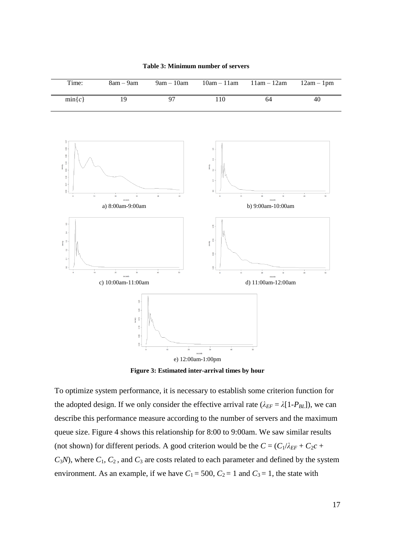

**Table 3: Minimum number of servers**

**Figure 3: Estimated inter-arrival times by hour**

To optimize system performance, it is necessary to establish some criterion function for the adopted design. If we only consider the effective arrival rate  $(\lambda_{EF} = \lambda [1-P_{BL}])$ , we can describe this performance measure according to the number of servers and the maximum queue size. Figure 4 shows this relationship for 8:00 to 9:00am. We saw similar results (not shown) for different periods. A good criterion would be the  $C = (C_1/\lambda_{EF} + C_2c + C_1/\lambda_{EF})$  $C_3N$ , where  $C_1$ ,  $C_2$ , and  $C_3$  are costs related to each parameter and defined by the system environment. As an example, if we have  $C_1 = 500$ ,  $C_2 = 1$  and  $C_3 = 1$ , the state with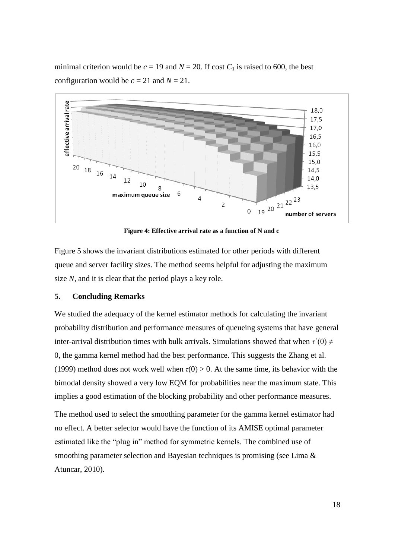minimal criterion would be  $c = 19$  and  $N = 20$ . If cost  $C_1$  is raised to 600, the best configuration would be  $c = 21$  and  $N = 21$ .



**Figure 4: Effective arrival rate as a function of N and c**

Figure 5 shows the invariant distributions estimated for other periods with different queue and server facility sizes. The method seems helpful for adjusting the maximum size *N,* and it is clear that the period plays a key role.

#### **5. Concluding Remarks**

We studied the adequacy of the kernel estimator methods for calculating the invariant probability distribution and performance measures of queueing systems that have general inter-arrival distribution times with bulk arrivals. Simulations showed that when  $\tau'(0) \neq$ 0, the gamma kernel method had the best performance. This suggests the Zhang et al. (1999) method does not work well when  $\tau(0) > 0$ . At the same time, its behavior with the bimodal density showed a very low EQM for probabilities near the maximum state. This implies a good estimation of the blocking probability and other performance measures.

The method used to select the smoothing parameter for the gamma kernel estimator had no effect. A better selector would have the function of its AMISE optimal parameter estimated like the "plug in" method for symmetric kernels. The combined use of smoothing parameter selection and Bayesian techniques is promising (see Lima & Atuncar, 2010).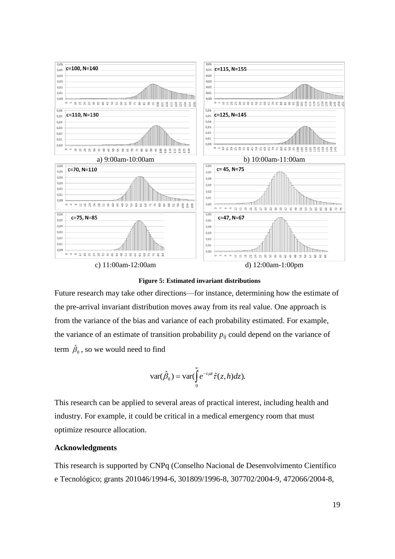



Future research may take other directions—for instance, determining how the estimate of the pre-arrival invariant distribution moves away from its real value. One approach is from the variance of the bias and variance of each probability estimated. For example, the variance of an estimate of transition probability  $p_{ij}$  could depend on the variance of term  $\hat{\beta}_0$  , so we would need to find

$$
\text{var}(\hat{\beta}_0) = \text{var}(\int_0^\infty e^{-c\mu z} \hat{\tau}(z,h) dz).
$$

This research can be applied to several areas of practical interest, including health and industry. For example, it could be critical in a medical emergency room that must optimize resource allocation.

### **Acknowledgments**

This research is supported by CNPq (Conselho Nacional de Desenvolvimento Científico e Tecnológico; grants 201046/1994-6, 301809/1996-8, 307702/2004-9, 472066/2004-8,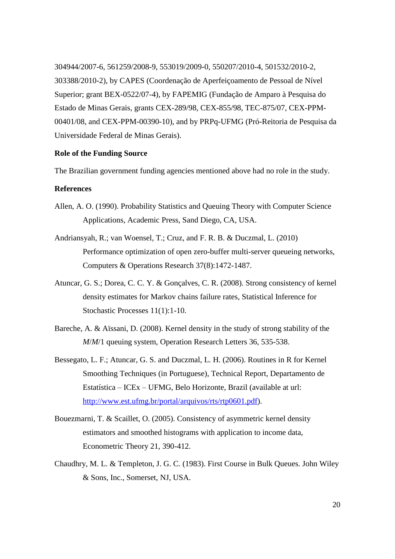304944/2007-6, 561259/2008-9, 553019/2009-0, 550207/2010-4, 501532/2010-2, 303388/2010-2), by CAPES (Coordenação de Aperfeiçoamento de Pessoal de Nível Superior; grant BEX-0522/07-4), by FAPEMIG (Fundação de Amparo à Pesquisa do Estado de Minas Gerais, grants CEX-289/98, CEX-855/98, TEC-875/07, CEX-PPM-00401/08, and CEX-PPM-00390-10), and by PRPq-UFMG (Pró-Reitoria de Pesquisa da Universidade Federal de Minas Gerais).

#### **Role of the Funding Source**

The Brazilian government funding agencies mentioned above had no role in the study.

# **References**

- Allen, A. O. (1990). Probability Statistics and Queuing Theory with Computer Science Applications, Academic Press, Sand Diego, CA, USA.
- Andriansyah, R.; van Woensel, T.; Cruz, and F. R. B. & Duczmal, L. (2010) Performance optimization of open zero-buffer multi-server queueing networks, Computers & Operations Research 37(8):1472-1487.
- Atuncar, G. S.; Dorea, C. C. Y. & Gonçalves, C. R. (2008). Strong consistency of kernel density estimates for Markov chains failure rates, Statistical Inference for Stochastic Processes 11(1):1-10.
- Bareche, A. & Aïssani, D. (2008). Kernel density in the study of strong stability of the *M*/*M*/1 queuing system, Operation Research Letters 36, 535-538.
- Bessegato, L. F.; Atuncar, G. S. and Duczmal, L. H. (2006). Routines in R for Kernel Smoothing Techniques (in Portuguese), Technical Report, Departamento de Estatística – ICEx – UFMG, Belo Horizonte, Brazil (available at url: [http://www.est.ufmg.br/portal/arquivos/rts/rtp0601.pdf\)](http://www.est.ufmg.br/portal/arquivos/rts/rtp0601.pdf).
- Bouezmarni, T. & Scaillet, O. (2005). Consistency of asymmetric kernel density estimators and smoothed histograms with application to income data, Econometric Theory 21, 390-412.
- Chaudhry, M. L. & Templeton, J. G. C. (1983). First Course in Bulk Queues. John Wiley & Sons, Inc., Somerset, NJ, USA.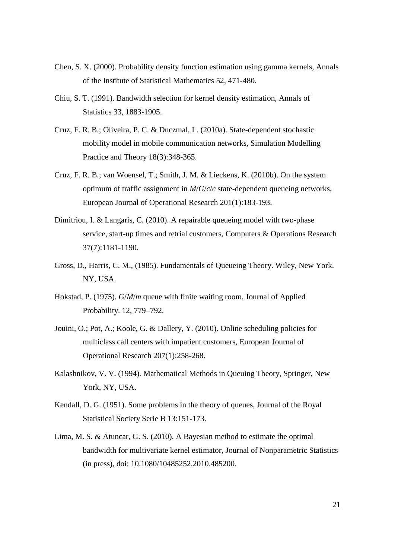- Chen, S. X. (2000). Probability density function estimation using gamma kernels, Annals of the Institute of Statistical Mathematics 52, 471-480.
- Chiu, S. T. (1991). Bandwidth selection for kernel density estimation, Annals of Statistics 33, 1883-1905.
- Cruz, F. R. B.; Oliveira, P. C. & Duczmal, L. (2010a). State-dependent stochastic mobility model in mobile communication networks, Simulation Modelling Practice and Theory 18(3):348-365.
- Cruz, F. R. B.; van Woensel, T.; Smith, J. M. & Lieckens, K. (2010b). On the system optimum of traffic assignment in *M*/*G*/*c*/*c* state-dependent queueing networks, European Journal of Operational Research 201(1):183-193.
- Dimitriou, I. & Langaris, C. (2010). A repairable queueing model with two-phase service, start-up times and retrial customers, Computers & Operations Research 37(7):1181-1190.
- Gross, D., Harris, C. M., (1985). Fundamentals of Queueing Theory. Wiley, New York. NY, USA.
- Hokstad, P. (1975). *G*/*M*/*m* queue with finite waiting room, Journal of Applied Probability. 12, 779–792.
- Jouini, O.; Pot, A.; Koole, G. & Dallery, Y. (2010). Online scheduling policies for multiclass call centers with impatient customers, European Journal of Operational Research 207(1):258-268.
- Kalashnikov, V. V. (1994). Mathematical Methods in Queuing Theory, Springer, New York, NY, USA.
- Kendall, D. G. (1951). Some problems in the theory of queues, Journal of the Royal Statistical Society Serie B 13:151-173.
- Lima, M. S. & Atuncar, G. S. (2010). A Bayesian method to estimate the optimal bandwidth for multivariate kernel estimator, Journal of Nonparametric Statistics (in press), doi: 10.1080/10485252.2010.485200.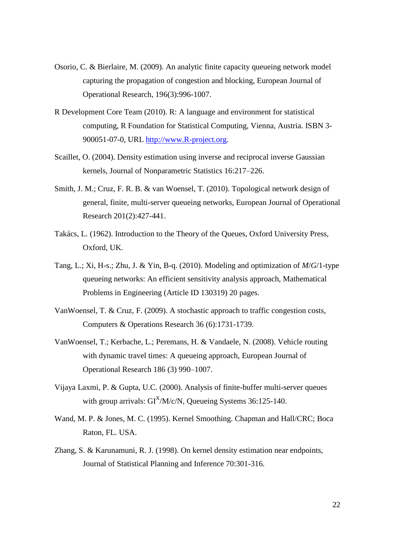- Osorio, C. & Bierlaire, M. (2009). An analytic finite capacity queueing network model capturing the propagation of congestion and blocking, European Journal of Operational Research, 196(3):996-1007.
- R Development Core Team (2010). R: A language and environment for statistical computing, R Foundation for Statistical Computing, Vienna, Austria. ISBN 3- 900051-07-0, URL [http://www.R-project.org.](http://www.r-project.org/)
- Scaillet, O. (2004). Density estimation using inverse and reciprocal inverse Gaussian kernels, Journal of Nonparametric Statistics 16:217–226.
- Smith, J. M.; Cruz, F. R. B. & van Woensel, T. (2010). Topological network design of general, finite, multi-server queueing networks, European Journal of Operational Research 201(2):427-441.
- Takács, L. (1962). Introduction to the Theory of the Queues, Oxford University Press, Oxford, UK.
- Tang, L.; Xi, H-s.; Zhu, J. & Yin, B-q. (2010). Modeling and optimization of *M*/*G*/1-type queueing networks: An efficient sensitivity analysis approach, Mathematical Problems in Engineering (Article ID 130319) 20 pages.
- VanWoensel, T. & Cruz, F. (2009). A stochastic approach to traffic congestion costs, Computers & Operations Research 36 (6):1731-1739.
- VanWoensel, T.; Kerbache, L.; Peremans, H. & Vandaele, N. (2008). Vehicle routing with dynamic travel times: A queueing approach, European Journal of Operational Research 186 (3) 990–1007.
- Vijaya Laxmi, P. & Gupta, U.C. (2000). Analysis of finite-buffer multi-server queues with group arrivals:  $GI^{X}/M/c/N$ , Queueing Systems 36:125-140.
- Wand, M. P. & Jones, M. C. (1995). Kernel Smoothing. Chapman and Hall/CRC; Boca Raton, FL. USA.
- Zhang, S. & Karunamuni, R. J. (1998). On kernel density estimation near endpoints, Journal of Statistical Planning and Inference 70:301-316.